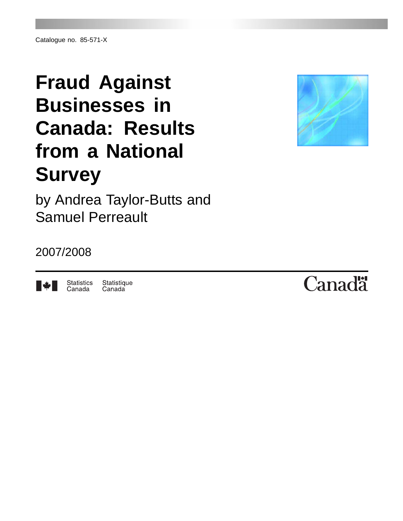# **Fraud Against Businesses in Canada: Results from a National Survey**



by Andrea Taylor-Butts and Samuel Perreault

# 2007/2008



Statistique **Statistics** Canada Canada

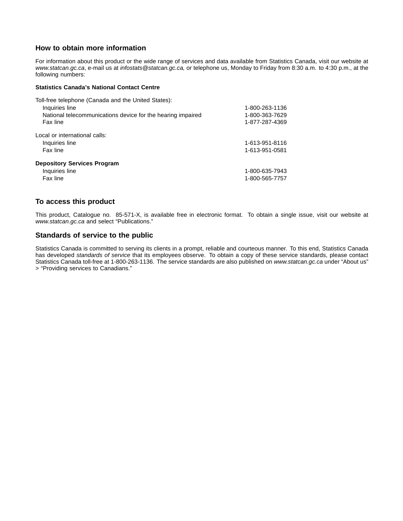### **How to obtain more information**

For information about this product or the wide range of services and data available from Statistics Canada, visit our website at *www.statcan.gc.ca*, e-mail us at *infostats@statcan.gc.ca,* or telephone us, Monday to Friday from 8:30 a.m. to 4:30 p.m., at the following numbers:

#### **Statistics Canada's National Contact Centre**

| Toll-free telephone (Canada and the United States):         |                |
|-------------------------------------------------------------|----------------|
| Inquiries line                                              | 1-800-263-1136 |
| National telecommunications device for the hearing impaired | 1-800-363-7629 |
| Fax line                                                    | 1-877-287-4369 |
| Local or international calls:                               |                |
| Inquiries line                                              | 1-613-951-8116 |
| Fax line                                                    | 1-613-951-0581 |
| <b>Depository Services Program</b>                          |                |
| Inquiries line                                              | 1-800-635-7943 |
| Fax line                                                    | 1-800-565-7757 |

#### **To access this product**

This product, Catalogue no. 85-571-X, is available free in electronic format. To obtain a single issue, visit our website at *www.statcan.gc.ca* and select "Publications."

#### **Standards of service to the public**

Statistics Canada is committed to serving its clients in a prompt, reliable and courteous manner. To this end, Statistics Canada has developed *standards of service* that its employees observe. To obtain a copy of these service standards, please contact Statistics Canada toll-free at 1-800-263-1136. The service standards are also published on *www.statcan.gc.ca* under "About us" > "Providing services to Canadians."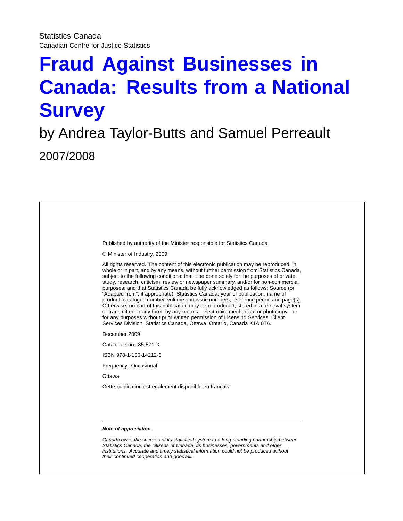# **Fraud Against Businesses in Canada: Results from a National Survey**

# by Andrea Taylor-Butts and Samuel Perreault 2007/2008

| Published by authority of the Minister responsible for Statistics Canada                                                                                                                                                                                                                                                                                                                                                                                                                                                                                                                                                                                                                                                                                                                                                                                                                                                                                                  |
|---------------------------------------------------------------------------------------------------------------------------------------------------------------------------------------------------------------------------------------------------------------------------------------------------------------------------------------------------------------------------------------------------------------------------------------------------------------------------------------------------------------------------------------------------------------------------------------------------------------------------------------------------------------------------------------------------------------------------------------------------------------------------------------------------------------------------------------------------------------------------------------------------------------------------------------------------------------------------|
| © Minister of Industry, 2009                                                                                                                                                                                                                                                                                                                                                                                                                                                                                                                                                                                                                                                                                                                                                                                                                                                                                                                                              |
| All rights reserved. The content of this electronic publication may be reproduced, in<br>whole or in part, and by any means, without further permission from Statistics Canada,<br>subject to the following conditions: that it be done solely for the purposes of private<br>study, research, criticism, review or newspaper summary, and/or for non-commercial<br>purposes; and that Statistics Canada be fully acknowledged as follows: Source (or<br>"Adapted from", if appropriate): Statistics Canada, year of publication, name of<br>product, catalogue number, volume and issue numbers, reference period and page(s).<br>Otherwise, no part of this publication may be reproduced, stored in a retrieval system<br>or transmitted in any form, by any means—electronic, mechanical or photocopy—or<br>for any purposes without prior written permission of Licensing Services, Client<br>Services Division, Statistics Canada, Ottawa, Ontario, Canada K1A 0T6. |
| December 2009                                                                                                                                                                                                                                                                                                                                                                                                                                                                                                                                                                                                                                                                                                                                                                                                                                                                                                                                                             |
| Catalogue no. 85-571-X                                                                                                                                                                                                                                                                                                                                                                                                                                                                                                                                                                                                                                                                                                                                                                                                                                                                                                                                                    |
| ISBN 978-1-100-14212-8                                                                                                                                                                                                                                                                                                                                                                                                                                                                                                                                                                                                                                                                                                                                                                                                                                                                                                                                                    |
| Frequency: Occasional                                                                                                                                                                                                                                                                                                                                                                                                                                                                                                                                                                                                                                                                                                                                                                                                                                                                                                                                                     |
| Ottawa                                                                                                                                                                                                                                                                                                                                                                                                                                                                                                                                                                                                                                                                                                                                                                                                                                                                                                                                                                    |
| Cette publication est également disponible en français.                                                                                                                                                                                                                                                                                                                                                                                                                                                                                                                                                                                                                                                                                                                                                                                                                                                                                                                   |
|                                                                                                                                                                                                                                                                                                                                                                                                                                                                                                                                                                                                                                                                                                                                                                                                                                                                                                                                                                           |
|                                                                                                                                                                                                                                                                                                                                                                                                                                                                                                                                                                                                                                                                                                                                                                                                                                                                                                                                                                           |
| Note of appreciation                                                                                                                                                                                                                                                                                                                                                                                                                                                                                                                                                                                                                                                                                                                                                                                                                                                                                                                                                      |
| Canada owes the success of its statistical system to a long-standing partnership between<br>Statistics Canada, the citizens of Canada, its businesses, governments and other<br>institutions. Accurate and timely statistical information could not be produced without<br>their continued cooperation and goodwill.                                                                                                                                                                                                                                                                                                                                                                                                                                                                                                                                                                                                                                                      |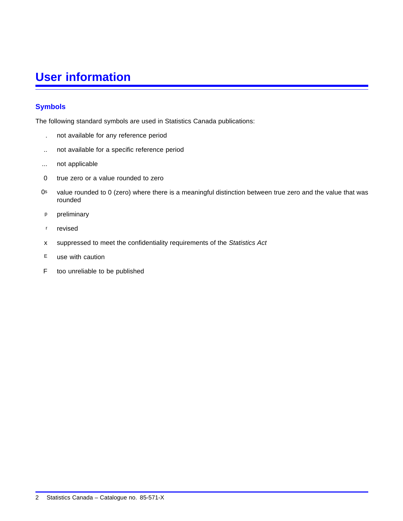# **User information**

# **Symbols**

The following standard symbols are used in Statistics Canada publications:

- . not available for any reference period
- .. not available for a specific reference period
- ... not applicable
- 0 true zero or a value rounded to zero
- 0s value rounded to 0 (zero) where there is a meaningful distinction between true zero and the value that was rounded
- p preliminary
- r revised
- x suppressed to meet the confidentiality requirements of the *Statistics Act*
- E use with caution
- F too unreliable to be published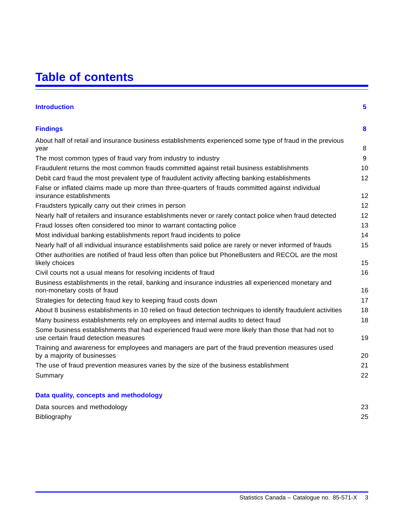# **Table of contents**

| <b>Introduction</b>                                                                                                                         | 5  |
|---------------------------------------------------------------------------------------------------------------------------------------------|----|
| <b>Findings</b>                                                                                                                             | 8  |
| About half of retail and insurance business establishments experienced some type of fraud in the previous                                   |    |
| year                                                                                                                                        | 8  |
| The most common types of fraud vary from industry to industry                                                                               | 9  |
| Fraudulent returns the most common frauds committed against retail business establishments                                                  | 10 |
| Debit card fraud the most prevalent type of fraudulent activity affecting banking establishments                                            | 12 |
| False or inflated claims made up more than three-quarters of frauds committed against individual<br>insurance establishments                | 12 |
| Fraudsters typically carry out their crimes in person                                                                                       | 12 |
| Nearly half of retailers and insurance establishments never or rarely contact police when fraud detected                                    | 12 |
| Fraud losses often considered too minor to warrant contacting police                                                                        | 13 |
| Most individual banking establishments report fraud incidents to police                                                                     | 14 |
| Nearly half of all individual insurance establishments said police are rarely or never informed of frauds                                   | 15 |
| Other authorities are notified of fraud less often than police but PhoneBusters and RECOL are the most                                      |    |
| likely choices                                                                                                                              | 15 |
| Civil courts not a usual means for resolving incidents of fraud                                                                             | 16 |
| Business establishments in the retail, banking and insurance industries all experienced monetary and                                        |    |
| non-monetary costs of fraud                                                                                                                 | 16 |
| Strategies for detecting fraud key to keeping fraud costs down                                                                              | 17 |
| About 8 business establishments in 10 relied on fraud detection techniques to identify fraudulent activities                                | 18 |
| Many business establishments rely on employees and internal audits to detect fraud                                                          | 18 |
| Some business establishments that had experienced fraud were more likely than those that had not to<br>use certain fraud detection measures | 19 |
| Training and awareness for employees and managers are part of the fraud prevention measures used<br>by a majority of businesses             | 20 |
| The use of fraud prevention measures varies by the size of the business establishment                                                       | 21 |
| Summary                                                                                                                                     | 22 |
| Data quality, concepts and methodology                                                                                                      |    |

| Data sources and methodology | 23 |
|------------------------------|----|
| Bibliography                 | 25 |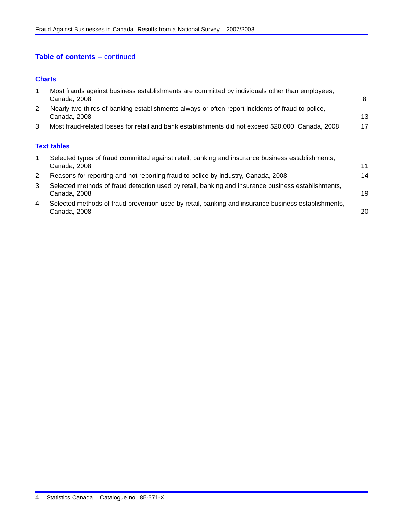# **Table of contents** – continued

#### **[Charts](#page-9-0)**

| 1. | Most frauds against business establishments are committed by individuals other than employees,<br>Canada, 2008      | 8  |
|----|---------------------------------------------------------------------------------------------------------------------|----|
| 2. | Nearly two-thirds of banking establishments always or often report incidents of fraud to police,<br>Canada, 2008    | 13 |
| 3. | Most fraud-related losses for retail and bank establishments did not exceed \$20,000, Canada, 2008                  | 17 |
|    | <b>Text tables</b>                                                                                                  |    |
| 1. | Selected types of fraud committed against retail, banking and insurance business establishments,<br>Canada, 2008    | 11 |
| 2. | Reasons for reporting and not reporting fraud to police by industry, Canada, 2008                                   | 14 |
| 3. | Selected methods of fraud detection used by retail, banking and insurance business establishments,<br>Canada, 2008  | 19 |
| 4. | Selected methods of fraud prevention used by retail, banking and insurance business establishments,<br>Canada, 2008 | 20 |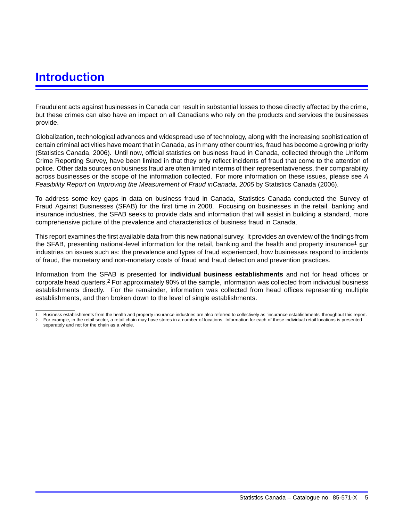# <span id="page-6-0"></span>**Introduction**

Fraudulent acts against businesses in Canada can result in substantial losses to those directly affected by the crime, but these crimes can also have an impact on all Canadians who rely on the products and services the businesses provide.

Globalization, technological advances and widespread use of technology, along with the increasing sophistication of certain criminal activities have meant that in Canada, as in many other countries, fraud has become a growing priority (Statistics Canada, 2006). Until now, official statistics on business fraud in Canada, collected through the Uniform Crime Reporting Survey, have been limited in that they only reflect incidents of fraud that come to the attention of police. Other data sources on business fraud are often limited in terms of their representativeness, their comparability across businesses or the scope of the information collected. For more information on these issues, please see *A Feasibility Report on Improving the Measurement of Fraud inCanada, 2005* by Statistics Canada (2006).

To address some key gaps in data on business fraud in Canada, Statistics Canada conducted the Survey of Fraud Against Businesses (SFAB) for the first time in 2008. Focusing on businesses in the retail, banking and insurance industries, the SFAB seeks to provide data and information that will assist in building a standard, more comprehensive picture of the prevalence and characteristics of business fraud in Canada.

This report examines the first available data from this new national survey. It provides an overview of the findings from the SFAB, presenting national-level information for the retail, banking and the health and property insurance<sup>1</sup> sur industries on issues such as: the prevalence and types of fraud experienced, how businesses respond to incidents of fraud, the monetary and non-monetary costs of fraud and fraud detection and prevention practices.

Information from the SFAB is presented for **individual business establishments** and not for head offices or corporate head quarters.2 For approximately 90% of the sample, information was collected from individual business establishments directly. For the remainder, information was collected from head offices representing multiple establishments, and then broken down to the level of single establishments.

<sup>1.</sup> Business establishments from the health and property insurance industries are also referred to collectively as 'insurance establishments' throughout this report.

<sup>2.</sup> For example, in the retail sector, a retail chain may have stores in a number of locations. Information for each of these individual retail locations is presented separately and not for the chain as a whole.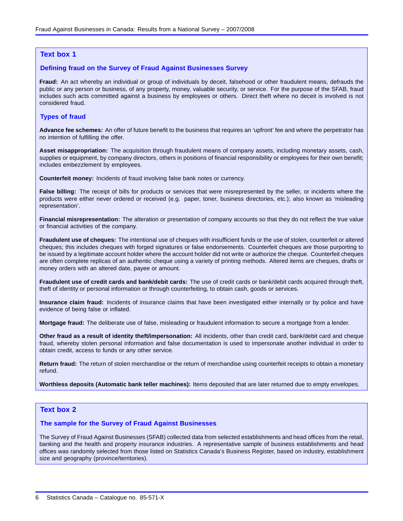#### **Text box 1**

#### **Defining fraud on the Survey of Fraud Against Businesses Survey**

**Fraud:** An act whereby an individual or group of individuals by deceit, falsehood or other fraudulent means, defrauds the public or any person or business, of any property, money, valuable security, or service. For the purpose of the SFAB, fraud includes such acts committed against a business by employees or others. Direct theft where no deceit is involved is not considered fraud.

#### **Types of fraud**

**Advance fee schemes:** An offer of future benefit to the business that requires an 'upfront' fee and where the perpetrator has no intention of fulfilling the offer.

**Asset misappropriation:** The acquisition through fraudulent means of company assets, including monetary assets, cash, supplies or equipment, by company directors, others in positions of financial responsibility or employees for their own benefit; includes embezzlement by employees.

**Counterfeit money:** Incidents of fraud involving false bank notes or currency.

**False billing:** The receipt of bills for products or services that were misrepresented by the seller, or incidents where the products were either never ordered or received (e.g. paper, toner, business directories, etc.); also known as 'misleading representation'.

**Financial misrepresentation:** The alteration or presentation of company accounts so that they do not reflect the true value or financial activities of the company.

**Fraudulent use of cheques:** The intentional use of cheques with insufficient funds or the use of stolen, counterfeit or altered cheques; this includes cheques with forged signatures or false endorsements. Counterfeit cheques are those purporting to be issued by a legitimate account holder where the account holder did not write or authorize the cheque. Counterfeit cheques are often complete replicas of an authentic cheque using a variety of printing methods. Altered items are cheques, drafts or money orders with an altered date, payee or amount.

**Fraudulent use of credit cards and bank/debit cards:** The use of credit cards or bank/debit cards acquired through theft, theft of identity or personal information or through counterfeiting, to obtain cash, goods or services.

**Insurance claim fraud:** Incidents of insurance claims that have been investigated either internally or by police and have evidence of being false or inflated.

**Mortgage fraud:** The deliberate use of false, misleading or fraudulent information to secure a mortgage from a lender.

**Other fraud as a result of identity theft/impersonation:** All incidents, other than credit card, bank/debit card and cheque fraud, whereby stolen personal information and false documentation is used to impersonate another individual in order to obtain credit, access to funds or any other service.

**Return fraud:** The return of stolen merchandise or the return of merchandise using counterfeit receipts to obtain a monetary refund.

**Worthless deposits (Automatic bank teller machines):** Items deposited that are later returned due to empty envelopes.

#### **Text box 2**

#### **The sample for the Survey of Fraud Against Businesses**

The Survey of Fraud Against Businesses (SFAB) collected data from selected establishments and head offices from the retail, banking and the health and property insurance industries. A representative sample of business establishments and head offices was randomly selected from those listed on Statistics Canada's Business Register, based on industry, establishment size and geography (province/territories).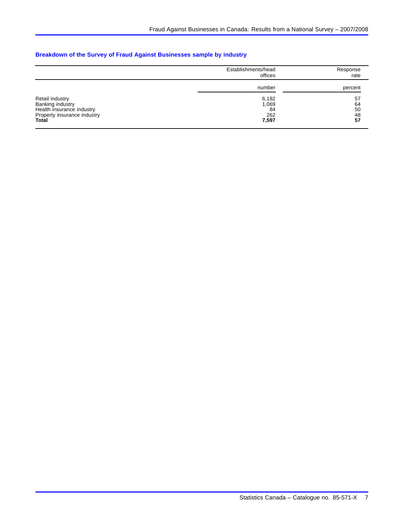### **Breakdown of the Survey of Fraud Against Businesses sample by industry**

|                                                                                                                 | Establishments/head<br>offices       | Response<br>rate           |
|-----------------------------------------------------------------------------------------------------------------|--------------------------------------|----------------------------|
|                                                                                                                 | number                               | percent                    |
| Retail industry<br>Banking industry<br>Health insurance industry<br>Property insurance industry<br><b>Total</b> | 6,182<br>1,069<br>84<br>262<br>7,597 | 57<br>64<br>50<br>48<br>57 |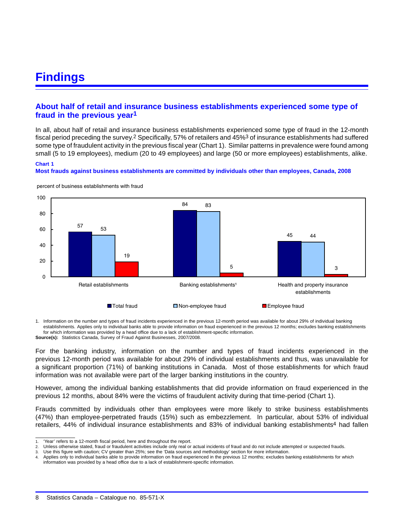# <span id="page-9-0"></span>**Findings**

# **About half of retail and insurance business establishments experienced some type of fraud in the previous year1**

In all, about half of retail and insurance business establishments experienced some type of fraud in the 12-month fiscal period preceding the survey.2 Specifically, 57% of retailers and 45%3 of insurance establishments had suffered some type of fraudulent activity in the previous fiscal year (Chart 1). Similar patterns in prevalence were found among small (5 to 19 employees), medium (20 to 49 employees) and large (50 or more employees) establishments, alike. **Chart 1**

#### **Most frauds against business establishments are committed by individuals other than employees, Canada, 2008**



percent of business establishments with fraud

1. Information on the number and types of fraud incidents experienced in the previous 12-month period was available for about 29% of individual banking establishments. Applies only to individual banks able to provide information on fraud experienced in the previous 12 months; excludes banking establishments for which information was provided by a head office due to a lack of establishment-specific information. **Source(s):** Statistics Canada, Survey of Fraud Against Businesses, 2007/2008.

For the banking industry, information on the number and types of fraud incidents experienced in the previous 12-month period was available for about 29% of individual establishments and thus, was unavailable for a significant proportion (71%) of banking institutions in Canada. Most of those establishments for which fraud information was not available were part of the larger banking institutions in the country.

However, among the individual banking establishments that did provide information on fraud experienced in the previous 12 months, about 84% were the victims of fraudulent activity during that time-period (Chart 1).

Frauds committed by individuals other than employees were more likely to strike business establishments (47%) than employee-perpetrated frauds (15%) such as embezzlement. In particular, about 53% of individual retailers, 44% of individual insurance establishments and 83% of individual banking establishments4 had fallen

<sup>&#</sup>x27;Year' refers to a 12-month fiscal period, here and throughout the report.

<sup>2.</sup> Unless otherwise stated, fraud or fraudulent activities include only real or actual incidents of fraud and do not include attempted or suspected frauds.

<sup>3.</sup> Use this figure with caution; CV greater than 25%; see the 'Data sources and methodology' section for more information.

<sup>4.</sup> Applies only to individual banks able to provide information on fraud experienced in the previous 12 months; excludes banking establishments for which information was provided by a head office due to a lack of establishment-specific information.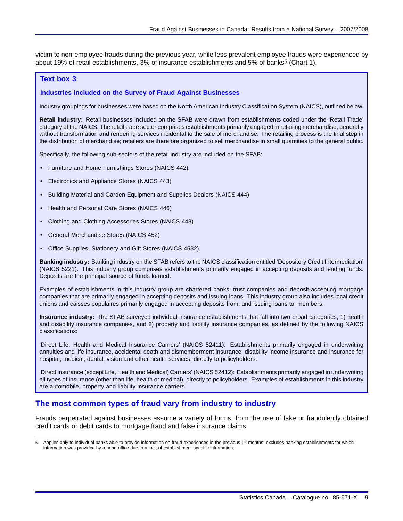<span id="page-10-0"></span>victim to non-employee frauds during the previous year, while less prevalent employee frauds were experienced by about 19% of retail establishments, 3% of insurance establishments and 5% of banks<sup>5</sup> (Chart [1\)](#page-9-0).

#### **Text box 3**

#### **Industries included on the Survey of Fraud Against Businesses**

Industry groupings for businesses were based on the North American Industry Classification System (NAICS), outlined below.

**Retail industry:** Retail businesses included on the SFAB were drawn from establishments coded under the 'Retail Trade' category of the NAICS. The retail trade sector comprises establishments primarily engaged in retailing merchandise, generally without transformation and rendering services incidental to the sale of merchandise. The retailing process is the final step in the distribution of merchandise; retailers are therefore organized to sell merchandise in small quantities to the general public.

Specifically, the following sub-sectors of the retail industry are included on the SFAB:

- Furniture and Home Furnishings Stores (NAICS 442)
- Electronics and Appliance Stores (NAICS 443)
- Building Material and Garden Equipment and Supplies Dealers (NAICS 444)
- Health and Personal Care Stores (NAICS 446)
- Clothing and Clothing Accessories Stores (NAICS 448)
- General Merchandise Stores (NAICS 452)
- Office Supplies, Stationery and Gift Stores (NAICS 4532)

**Banking industry:** Banking industry on the SFAB refers to the NAICS classification entitled 'Depository Credit Intermediation' (NAICS 5221). This industry group comprises establishments primarily engaged in accepting deposits and lending funds. Deposits are the principal source of funds loaned.

Examples of establishments in this industry group are chartered banks, trust companies and deposit-accepting mortgage companies that are primarily engaged in accepting deposits and issuing loans. This industry group also includes local credit unions and caisses populaires primarily engaged in accepting deposits from, and issuing loans to, members.

**Insurance industry:** The SFAB surveyed individual insurance establishments that fall into two broad categories, 1) health and disability insurance companies, and 2) property and liability insurance companies, as defined by the following NAICS classifications:

'Direct Life, Health and Medical Insurance Carriers' (NAICS 52411): Establishments primarily engaged in underwriting annuities and life insurance, accidental death and dismemberment insurance, disability income insurance and insurance for hospital, medical, dental, vision and other health services, directly to policyholders.

'Direct Insurance (except Life, Health and Medical) Carriers' (NAICS 52412): Establishments primarily engaged in underwriting all types of insurance (other than life, health or medical), directly to policyholders. Examples of establishments in this industry are automobile, property and liability insurance carriers.

### **The most common types of fraud vary from industry to industry**

Frauds perpetrated against businesses assume a variety of forms, from the use of fake or fraudulently obtained credit cards or debit cards to mortgage fraud and false insurance claims.

Applies only to individual banks able to provide information on fraud experienced in the previous 12 months; excludes banking establishments for which information was provided by a head office due to a lack of establishment-specific information.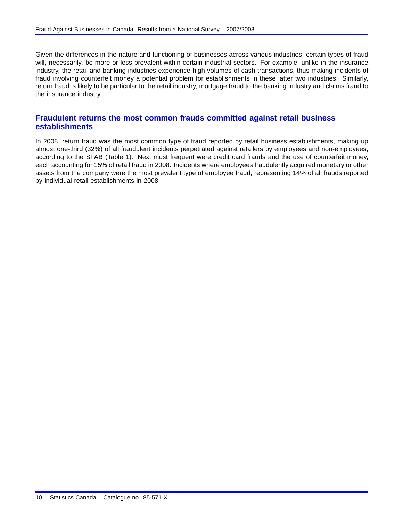<span id="page-11-0"></span>Given the differences in the nature and functioning of businesses across various industries, certain types of fraud will, necessarily, be more or less prevalent within certain industrial sectors. For example, unlike in the insurance industry, the retail and banking industries experience high volumes of cash transactions, thus making incidents of fraud involving counterfeit money a potential problem for establishments in these latter two industries. Similarly, return fraud is likely to be particular to the retail industry, mortgage fraud to the banking industry and claims fraud to the insurance industry.

# **Fraudulent returns the most common frauds committed against retail business establishments**

In 2008, return fraud was the most common type of fraud reported by retail business establishments, making up almost one-third (32%) of all fraudulent incidents perpetrated against retailers by employees and non-employees, according to the SFAB (Table [1](#page-12-0)). Next most frequent were credit card frauds and the use of counterfeit money, each accounting for 15% of retail fraud in 2008. Incidents where employees fraudulently acquired monetary or other assets from the company were the most prevalent type of employee fraud, representing 14% of all frauds reported by individual retail establishments in 2008.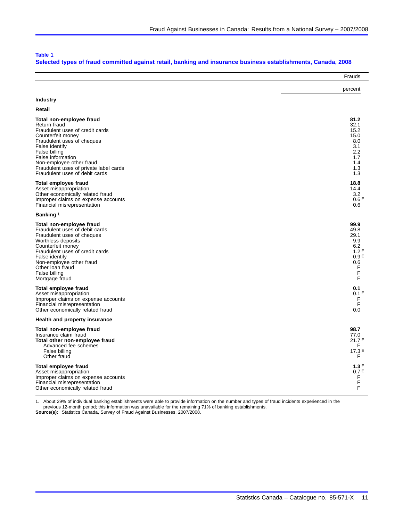#### <span id="page-12-0"></span>**Table 1**

#### **Selected types of fraud committed against retail, banking and insurance business establishments, Canada, 2008**

|                                        | Frauds           |
|----------------------------------------|------------------|
|                                        | percent          |
| <b>Industry</b>                        |                  |
| Retail                                 |                  |
| Total non-employee fraud               | 81.2             |
| Return fraud                           | 32.1             |
| Fraudulent uses of credit cards        | 15.2             |
| Counterfeit money                      | 15.0             |
| Fraudulent uses of cheques             | 8.0              |
| False identify                         | 3.1              |
| False billing                          | 2.2              |
| False information                      | 1.7              |
| Non-employee other fraud               | 1.4              |
| Fraudulent uses of private label cards | 1.3              |
| Fraudulent uses of debit cards         | 1.3              |
| <b>Total employee fraud</b>            | 18.8             |
| Asset misappropriation                 | 14.4             |
| Other economically related fraud       | 3.2              |
| Improper claims on expense accounts    | 0.6E             |
| Financial misrepresentation            | 0.6              |
| Banking 1                              |                  |
| Total non-employee fraud               | 99.9             |
| Fraudulent uses of debit cards         | 49.8             |
| Fraudulent uses of cheques             | 29.1             |
| Worthless deposits                     | 9.9              |
| Counterfeit money                      | 6.2              |
| Fraudulent uses of credit cards        | 1.2E             |
| False identify                         | 0.9E             |
| Non-employee other fraud               | 0.6              |
| Other loan fraud                       | F                |
| False billing                          | F                |
| Mortgage fraud                         | F                |
| <b>Total employee fraud</b>            | 0.1              |
| Asset misappropriation                 | 0.1 <sup>E</sup> |
| Improper claims on expense accounts    | F                |
| Financial misrepresentation            | F                |
| Other economically related fraud       | 0.0              |
| Health and property insurance          |                  |
| Total non-employee fraud               | 98.7             |
| Insurance claim fraud                  | 77.0             |
| Total other non-employee fraud         | 21.7E            |
| Advanced fee schemes                   | F.               |
| False billing                          | 17.3E            |
| Other fraud                            | F                |
| <b>Total employee fraud</b>            | 1.3E             |
| Asset misappropriation                 | 0.7E             |
| Improper claims on expense accounts    | F                |
| Financial misrepresentation            | F                |
| Other economically related fraud       | F                |

1. About 29% of individual banking establishments were able to provide information on the number and types of fraud incidents experienced in the

previous 12-month period; this information was unavailable for the remaining 71% of banking establishments. **Source(s):** Statistics Canada, Survey of Fraud Against Businesses, 2007/2008.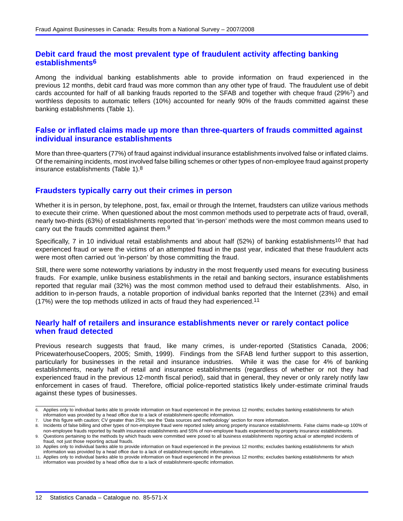# <span id="page-13-0"></span>**Debit card fraud the most prevalent type of fraudulent activity affecting banking establishments6**

Among the individual banking establishments able to provide information on fraud experienced in the previous 12 months, debit card fraud was more common than any other type of fraud. The fraudulent use of debit cards accounted for half of all banking frauds reported to the SFAB and together with cheque fraud (29%7) and worthless deposits to automatic tellers (10%) accounted for nearly 90% of the frauds committed against these banking establishments (Table [1](#page-12-0)).

### **False or inflated claims made up more than three-quarters of frauds committed against individual insurance establishments**

More than three-quarters (77%) of fraud against individual insurance establishments involved false or inflated claims. Of the remaining incidents, most involved false billing schemes or other types of non-employee fraud against property insurance establishments (Table [1\)](#page-12-0).8

### **Fraudsters typically carry out their crimes in person**

Whether it is in person, by telephone, post, fax, email or through the Internet, fraudsters can utilize various methods to execute their crime. When questioned about the most common methods used to perpetrate acts of fraud, overall, nearly two-thirds (63%) of establishments reported that 'in-person' methods were the most common means used to carry out the frauds committed against them.9

Specifically, 7 in 10 individual retail establishments and about half (52%) of banking establishments<sup>10</sup> that had experienced fraud or were the victims of an attempted fraud in the past year, indicated that these fraudulent acts were most often carried out 'in-person' by those committing the fraud.

Still, there were some noteworthy variations by industry in the most frequently used means for executing business frauds. For example, unlike business establishments in the retail and banking sectors, insurance establishments reported that regular mail (32%) was the most common method used to defraud their establishments. Also, in addition to in-person frauds, a notable proportion of individual banks reported that the Internet (23%) and email (17%) were the top methods utilized in acts of fraud they had experienced.11

### **Nearly half of retailers and insurance establishments never or rarely contact police when fraud detected**

Previous research suggests that fraud, like many crimes, is under-reported (Statistics Canada, 2006; PricewaterhouseCoopers, 2005; Smith, 1999). Findings from the SFAB lend further support to this assertion, particularly for businesses in the retail and insurance industries. While it was the case for 4% of banking establishments, nearly half of retail and insurance establishments (regardless of whether or not they had experienced fraud in the previous 12-month fiscal period), said that in general, they never or only rarely notify law enforcement in cases of fraud. Therefore, official police-reported statistics likely under-estimate criminal frauds against these types of businesses.

<sup>6.</sup> Applies only to individual banks able to provide information on fraud experienced in the previous 12 months; excludes banking establishments for which information was provided by a head office due to a lack of establishment-specific information.

Use this figure with caution; CV greater than 25%; see the 'Data sources and methodology' section for more information.

<sup>8.</sup> Incidents of false billing and other types of non-employee fraud were reported solely among property insurance establishments. False claims made-up 100% of non-employee frauds reported by health insurance establishments and 55% of non-employee frauds experienced by property insurance establishments.

<sup>9.</sup> Questions pertaining to the methods by which frauds were committed were posed to all business establishments reporting actual or attempted incidents of fraud, not just those reporting actual frauds.

<sup>10.</sup> Applies only to individual banks able to provide information on fraud experienced in the previous 12 months; excludes banking establishments for which information was provided by a head office due to a lack of establishment-specific information.

<sup>11.</sup> Applies only to individual banks able to provide information on fraud experienced in the previous 12 months; excludes banking establishments for which information was provided by a head office due to a lack of establishment-specific information.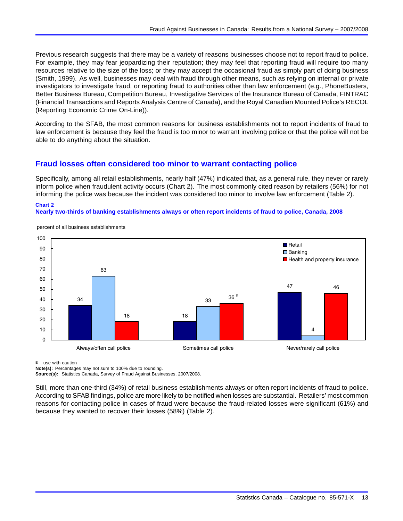<span id="page-14-0"></span>Previous research suggests that there may be a variety of reasons businesses choose not to report fraud to police. For example, they may fear jeopardizing their reputation; they may feel that reporting fraud will require too many resources relative to the size of the loss; or they may accept the occasional fraud as simply part of doing business (Smith, 1999). As well, businesses may deal with fraud through other means, such as relying on internal or private investigators to investigate fraud, or reporting fraud to authorities other than law enforcement (e.g., PhoneBusters, Better Business Bureau, Competition Bureau, Investigative Services of the Insurance Bureau of Canada, FINTRAC (Financial Transactions and Reports Analysis Centre of Canada), and the Royal Canadian Mounted Police's RECOL (Reporting Economic Crime On-Line)).

According to the SFAB, the most common reasons for business establishments not to report incidents of fraud to law enforcement is because they feel the fraud is too minor to warrant involving police or that the police will not be able to do anything about the situation.

# **Fraud losses often considered too minor to warrant contacting police**

Specifically, among all retail establishments, nearly half (47%) indicated that, as a general rule, they never or rarely inform police when fraudulent activity occurs (Chart 2). The most commonly cited reason by retailers (56%) for not informing the police was because the incident was considered too minor to involve law enforcement (Table [2](#page-15-0)).

# **Chart 2**

#### **Nearly two-thirds of banking establishments always or often report incidents of fraud to police, Canada, 2008**



percent of all business establishments

E use with caution

**Note(s):** Percentages may not sum to 100% due to rounding.

**Source(s):** Statistics Canada, Survey of Fraud Against Businesses, 2007/2008.

Still, more than one-third (34%) of retail business establishments always or often report incidents of fraud to police. According to SFAB findings, police are more likely to be notified when losses are substantial. Retailers' most common reasons for contacting police in cases of fraud were because the fraud-related losses were significant (61%) and because they wanted to recover their losses (58%) (Table [2\)](#page-15-0).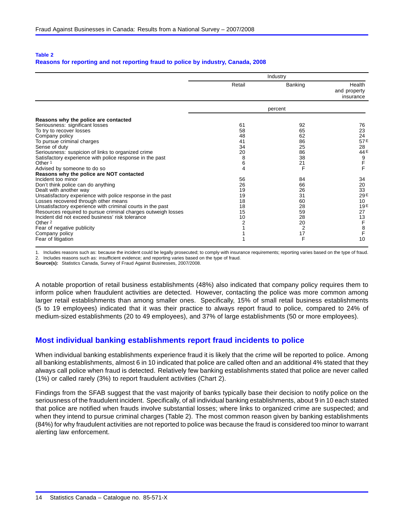#### <span id="page-15-0"></span>**Table 2**

#### **Reasons for reporting and not reporting fraud to police by industry, Canada, 2008**

|                                                                                      | Industry |                |                                     |
|--------------------------------------------------------------------------------------|----------|----------------|-------------------------------------|
|                                                                                      | Retail   | Banking        | Health<br>and property<br>insurance |
|                                                                                      |          | percent        |                                     |
| Reasons why the police are contacted<br>Seriousness: significant losses              | 61       | 92             | 76                                  |
| To try to recover losses                                                             | 58       | 65             | 23                                  |
| Company policy                                                                       | 48       | 62             | 24                                  |
| To pursue criminal charges                                                           | 41       | 86             | 57E                                 |
| Sense of duty                                                                        | 34       | 25             | 28                                  |
| Seriousness: suspicion of links to organized crime                                   | 20       | 86             | 44 E                                |
| Satisfactory experience with police response in the past                             | 8        | 38             | $9$ F<br>F                          |
| Other <sup>1</sup>                                                                   | 6        | 21             |                                     |
| Advised by someone to do so                                                          | 4        | F              |                                     |
| Reasons why the police are NOT contacted                                             |          |                |                                     |
| Incident too minor                                                                   | 56       | 84             | 34                                  |
| Don't think police can do anything                                                   | 26       | 66             | 20                                  |
| Dealt with another way<br>Unsatisfactory experience with police response in the past | 19<br>19 | 26<br>31       | 33<br>29E                           |
| Losses recovered through other means                                                 | 18       | 60             | 10                                  |
| Unsatisfactory experience with criminal courts in the past                           | 18       | 28             | 19E                                 |
| Resources required to pursue criminal charges outweigh losses                        | 15       | 59             | 27                                  |
| Incident did not exceed business' risk tolerance                                     | 10       | 28             | 13                                  |
| Other <sub>2</sub>                                                                   | 2        | 20             | $\mathsf F$                         |
| Fear of negative publicity                                                           |          | $\overline{2}$ |                                     |
| Company policy                                                                       |          | 17             | $rac{8}{F}$                         |
| Fear of litigation                                                                   |          | F              | 10                                  |

1. Includes reasons such as: because the incident could be legally prosecuted; to comply with insurance requirements; reporting varies based on the type of fraud.

2. Includes reasons such as: insufficient evidence; and reporting varies based on the type of fraud.

**Source(s):** Statistics Canada, Survey of Fraud Against Businesses, 2007/2008.

A notable proportion of retail business establishments (48%) also indicated that company policy requires them to inform police when fraudulent activities are detected. However, contacting the police was more common among larger retail establishments than among smaller ones. Specifically, 15% of small retail business establishments (5 to 19 employees) indicated that it was their practice to always report fraud to police, compared to 24% of medium-sized establishments (20 to 49 employees), and 37% of large establishments (50 or more employees).

### **Most individual banking establishments report fraud incidents to police**

When individual banking establishments experience fraud it is likely that the crime will be reported to police. Among all banking establishments, almost 6 in 10 indicated that police are called often and an additional 4% stated that they always call police when fraud is detected. Relatively few banking establishments stated that police are never called (1%) or called rarely (3%) to report fraudulent activities (Chart [2\)](#page-14-0).

Findings from the SFAB suggest that the vast majority of banks typically base their decision to notify police on the seriousness of the fraudulent incident. Specifically, of all individual banking establishments, about 9 in 10 each stated that police are notified when frauds involve substantial losses; where links to organized crime are suspected; and when they intend to pursue criminal charges (Table 2). The most common reason given by banking establishments (84%) for why fraudulent activities are not reported to police was because the fraud is considered too minor to warrant alerting law enforcement.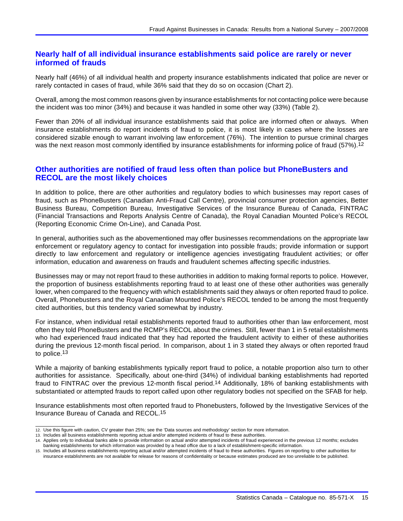# <span id="page-16-0"></span>**Nearly half of all individual insurance establishments said police are rarely or never informed of frauds**

Nearly half (46%) of all individual health and property insurance establishments indicated that police are never or rarely contacted in cases of fraud, while 36% said that they do so on occasion (Chart [2](#page-14-0)).

Overall, among the most common reasons given by insurance establishments for not contacting police were because the incident was too minor (34%) and because it was handled in some other way (33%) (Table [2\)](#page-15-0).

Fewer than 20% of all individual insurance establishments said that police are informed often or always. When insurance establishments do report incidents of fraud to police, it is most likely in cases where the losses are considered sizable enough to warrant involving law enforcement (76%). The intention to pursue criminal charges was the next reason most commonly identified by insurance establishments for informing police of fraud (57%).<sup>12</sup>

# **Other authorities are notified of fraud less often than police but PhoneBusters and RECOL are the most likely choices**

In addition to police, there are other authorities and regulatory bodies to which businesses may report cases of fraud, such as PhoneBusters (Canadian Anti-Fraud Call Centre), provincial consumer protection agencies, Better Business Bureau, Competition Bureau, Investigative Services of the Insurance Bureau of Canada, FINTRAC (Financial Transactions and Reports Analysis Centre of Canada), the Royal Canadian Mounted Police's RECOL (Reporting Economic Crime On-Line), and Canada Post.

In general, authorities such as the abovementioned may offer businesses recommendations on the appropriate law enforcement or regulatory agency to contact for investigation into possible frauds; provide information or support directly to law enforcement and regulatory or intelligence agencies investigating fraudulent activities; or offer information, education and awareness on frauds and fraudulent schemes affecting specific industries.

Businesses may or may not report fraud to these authorities in addition to making formal reports to police. However, the proportion of business establishments reporting fraud to at least one of these other authorities was generally lower, when compared to the frequency with which establishments said they always or often reported fraud to police. Overall, Phonebusters and the Royal Canadian Mounted Police's RECOL tended to be among the most frequently cited authorities, but this tendency varied somewhat by industry.

For instance, when individual retail establishments reported fraud to authorities other than law enforcement, most often they told PhoneBusters and the RCMP's RECOL about the crimes. Still, fewer than 1 in 5 retail establishments who had experienced fraud indicated that they had reported the fraudulent activity to either of these authorities during the previous 12-month fiscal period. In comparison, about 1 in 3 stated they always or often reported fraud to police.13

While a majority of banking establishments typically report fraud to police, a notable proportion also turn to other authorities for assistance. Specifically, about one-third (34%) of individual banking establishments had reported fraud to FINTRAC over the previous 12-month fiscal period.14 Additionally, 18% of banking establishments with substantiated or attempted frauds to report called upon other regulatory bodies not specified on the SFAB for help.

Insurance establishments most often reported fraud to Phonebusters, followed by the Investigative Services of the Insurance Bureau of Canada and RECOL.15

<sup>12.</sup> Use this figure with caution, CV greater than 25%; see the 'Data sources and methodology' section for more information.

<sup>13.</sup> Includes all business establishments reporting actual and/or attempted incidents of fraud to these authorities.

Applies only to individual banks able to provide information on actual and/or attempted incidents of fraud experienced in the previous 12 months; excludes banking establishments for which information was provided by a head office due to a lack of establishment-specific information.

<sup>15.</sup> Includes all business establishments reporting actual and/or attempted incidents of fraud to these authorities. Figures on reporting to other authorities for insurance establishments are not available for release for reasons of confidentiality or because estimates produced are too unreliable to be published.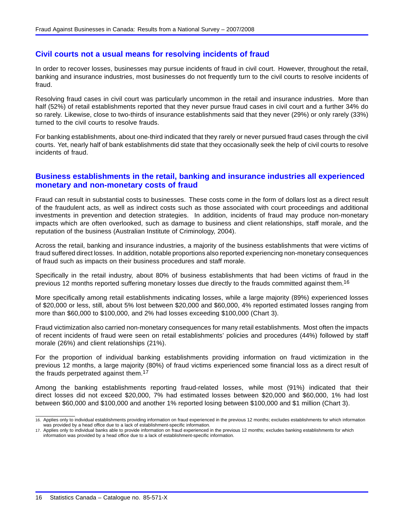# <span id="page-17-0"></span>**Civil courts not a usual means for resolving incidents of fraud**

In order to recover losses, businesses may pursue incidents of fraud in civil court. However, throughout the retail, banking and insurance industries, most businesses do not frequently turn to the civil courts to resolve incidents of fraud.

Resolving fraud cases in civil court was particularly uncommon in the retail and insurance industries. More than half (52%) of retail establishments reported that they never pursue fraud cases in civil court and a further 34% do so rarely. Likewise, close to two-thirds of insurance establishments said that they never (29%) or only rarely (33%) turned to the civil courts to resolve frauds.

For banking establishments, about one-third indicated that they rarely or never pursued fraud cases through the civil courts. Yet, nearly half of bank establishments did state that they occasionally seek the help of civil courts to resolve incidents of fraud.

# **Business establishments in the retail, banking and insurance industries all experienced monetary and non-monetary costs of fraud**

Fraud can result in substantial costs to businesses. These costs come in the form of dollars lost as a direct result of the fraudulent acts, as well as indirect costs such as those associated with court proceedings and additional investments in prevention and detection strategies. In addition, incidents of fraud may produce non-monetary impacts which are often overlooked, such as damage to business and client relationships, staff morale, and the reputation of the business (Australian Institute of Criminology, 2004).

Across the retail, banking and insurance industries, a majority of the business establishments that were victims of fraud suffered direct losses. In addition, notable proportions also reported experiencing non-monetary consequences of fraud such as impacts on their business procedures and staff morale.

Specifically in the retail industry, about 80% of business establishments that had been victims of fraud in the previous 12 months reported suffering monetary losses due directly to the frauds committed against them.16

More specifically among retail establishments indicating losses, while a large majority (89%) experienced losses of \$20,000 or less, still, about 5% lost between \$20,000 and \$60,000, 4% reported estimated losses ranging from more than \$60,000 to \$100,000, and 2% had losses exceeding \$100,000 (Chart [3\)](#page-18-0).

Fraud victimization also carried non-monetary consequences for many retail establishments. Most often the impacts of recent incidents of fraud were seen on retail establishments' policies and procedures (44%) followed by staff morale (26%) and client relationships (21%).

For the proportion of individual banking establishments providing information on fraud victimization in the previous 12 months, a large majority (80%) of fraud victims experienced some financial loss as a direct result of the frauds perpetrated against them.17

Among the banking establishments reporting fraud-related losses, while most (91%) indicated that their direct losses did not exceed \$20,000, 7% had estimated losses between \$20,000 and \$60,000, 1% had lost between \$60,000 and \$100,000 and another 1% reported losing between \$100,000 and \$1 million (Chart [3\)](#page-18-0).

<sup>16.</sup> Applies only to individual establishments providing information on fraud experienced in the previous 12 months; excludes establishments for which information was provided by a head office due to a lack of establishment-specific information.

<sup>17.</sup> Applies only to individual banks able to provide information on fraud experienced in the previous 12 months; excludes banking establishments for which information was provided by a head office due to a lack of establishment-specific information.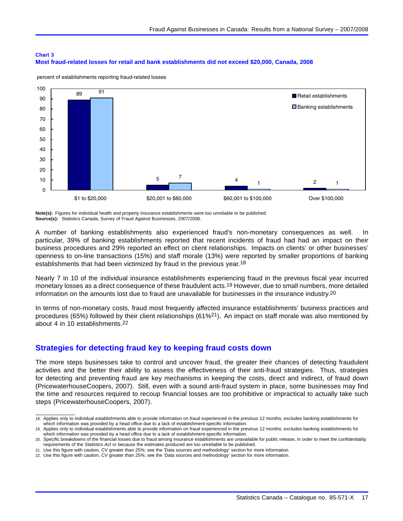#### <span id="page-18-0"></span>**Chart 3 Most fraud-related losses for retail and bank establishments did not exceed \$20,000, Canada, 2008**



percent of establishments reporting fraud-related losses

**Note(s):** Figures for individual health and property insurance establishments were too unreliable to be published. **Source(s):** Statistics Canada, Survey of Fraud Against Businesses, 2007/2008.

A number of banking establishments also experienced fraud's non-monetary consequences as well. In particular, 39% of banking establishments reported that recent incidents of fraud had had an impact on their business procedures and 29% reported an effect on client relationships. Impacts on clients' or other businesses' openness to on-line transactions (15%) and staff morale (13%) were reported by smaller proportions of banking establishments that had been victimized by fraud in the previous year.18

Nearly 7 in 10 of the individual insurance establishments experiencing fraud in the previous fiscal year incurred monetary losses as a direct consequence of these fraudulent acts.19 However, due to small numbers, more detailed information on the amounts lost due to fraud are unavailable for businesses in the insurance industry.20

In terms of non-monetary costs, fraud most frequently affected insurance establishments' business practices and procedures (65%) followed by their client relationships (61%21). An impact on staff morale was also mentioned by about 4 in 10 establishments.22

# **Strategies for detecting fraud key to keeping fraud costs down**

The more steps businesses take to control and uncover fraud, the greater their chances of detecting fraudulent activities and the better their ability to assess the effectiveness of their anti-fraud strategies. Thus, strategies for detecting and preventing fraud are key mechanisms in keeping the costs, direct and indirect, of fraud down (PricewaterhouseCoopers, 2007). Still, even with a sound anti-fraud system in place, some businesses may find the time and resources required to recoup financial losses are too prohibitive or impractical to actually take such steps (PricewaterhouseCoopers, 2007).

21. Use this figure with caution, CV greater than 25%; see the 'Data sources and methodology' section for more information.

<sup>18.</sup> Applies only to individual establishments able to provide information on fraud experienced in the previous 12 months; excludes banking establishments for which information was provided by a head office due to a lack of establishment-specific information.

<sup>19.</sup> Applies only to individual establishments able to provide information on fraud experienced in the previous 12 months; excludes banking establishments for which information was provided by a head office due to a lack of establishment-specific information.

<sup>20.</sup> Specific breakdowns of the financial losses due to fraud among insurance establishments are unavailable for public release, in order to meet the confidentiality requirements of the *Statistics Act* or because the estimates produced are too unreliable to be published.

<sup>22.</sup> Use this figure with caution, CV greater than 25%; see the 'Data sources and methodology' section for more information.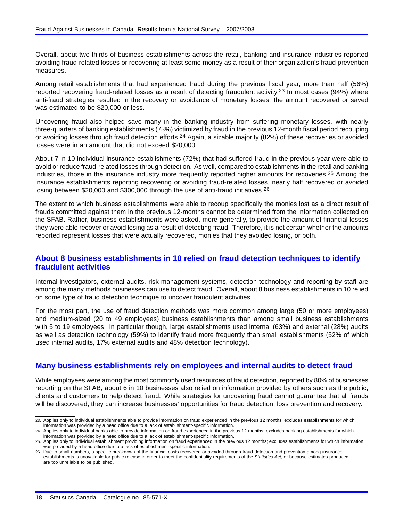<span id="page-19-0"></span>Overall, about two-thirds of business establishments across the retail, banking and insurance industries reported avoiding fraud-related losses or recovering at least some money as a result of their organization's fraud prevention measures.

Among retail establishments that had experienced fraud during the previous fiscal year, more than half (56%) reported recovering fraud-related losses as a result of detecting fraudulent activity.23 In most cases (94%) where anti-fraud strategies resulted in the recovery or avoidance of monetary losses, the amount recovered or saved was estimated to be \$20,000 or less.

Uncovering fraud also helped save many in the banking industry from suffering monetary losses, with nearly three-quarters of banking establishments (73%) victimized by fraud in the previous 12-month fiscal period recouping or avoiding losses through fraud detection efforts.24 Again, a sizable majority (82%) of these recoveries or avoided losses were in an amount that did not exceed \$20,000.

About 7 in 10 individual insurance establishments (72%) that had suffered fraud in the previous year were able to avoid or reduce fraud-related losses through detection. As well, compared to establishments in the retail and banking industries, those in the insurance industry more frequently reported higher amounts for recoveries.25 Among the insurance establishments reporting recovering or avoiding fraud-related losses, nearly half recovered or avoided losing between \$20,000 and \$300,000 through the use of anti-fraud initiatives.26

The extent to which business establishments were able to recoup specifically the monies lost as a direct result of frauds committed against them in the previous 12-months cannot be determined from the information collected on the SFAB. Rather, business establishments were asked, more generally, to provide the amount of financial losses they were able recover or avoid losing as a result of detecting fraud. Therefore, it is not certain whether the amounts reported represent losses that were actually recovered, monies that they avoided losing, or both.

# **About 8 business establishments in 10 relied on fraud detection techniques to identify fraudulent activities**

Internal investigators, external audits, risk management systems, detection technology and reporting by staff are among the many methods businesses can use to detect fraud. Overall, about 8 business establishments in 10 relied on some type of fraud detection technique to uncover fraudulent activities.

For the most part, the use of fraud detection methods was more common among large (50 or more employees) and medium-sized (20 to 49 employees) business establishments than among small business establishments with 5 to 19 employees. In particular though, large establishments used internal (63%) and external (28%) audits as well as detection technology (59%) to identify fraud more frequently than small establishments (52% of which used internal audits, 17% external audits and 48% detection technology).

# **Many business establishments rely on employees and internal audits to detect fraud**

While employees were among the most commonly used resources of fraud detection, reported by 80% of businesses reporting on the SFAB, about 6 in 10 businesses also relied on information provided by others such as the public, clients and customers to help detect fraud. While strategies for uncovering fraud cannot guarantee that all frauds will be discovered, they can increase businesses' opportunities for fraud detection, loss prevention and recovery.

<sup>23.</sup> Applies only to individual establishments able to provide information on fraud experienced in the previous 12 months; excludes establishments for which information was provided by a head office due to a lack of establishment-specific information.

<sup>24.</sup> Applies only to individual banks able to provide information on fraud experienced in the previous 12 months; excludes banking establishments for which information was provided by a head office due to a lack of establishment-specific information.

<sup>25.</sup> Applies only to individual establishment providing information on fraud experienced in the previous 12 months; excludes establishments for which information was provided by a head office due to a lack of establishment-specific information.

<sup>26.</sup> Due to small numbers, a specific breakdown of the financial costs recovered or avoided through fraud detection and prevention among insurance establishments is unavailable for public release in order to meet the confidentiality requirements of the *Statistics Act*, or because estimates produced are too unreliable to be published.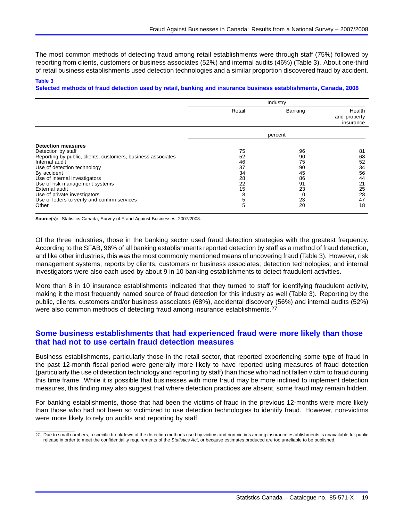<span id="page-20-0"></span>The most common methods of detecting fraud among retail establishments were through staff (75%) followed by reporting from clients, customers or business associates (52%) and internal audits (46%) (Table 3). About one-third of retail business establishments used detection technologies and a similar proportion discovered fraud by accident.

#### **Table 3**

**Selected methods of fraud detection used by retail, banking and insurance business establishments, Canada, 2008**

|                                                                                                                                                                                                                                                                                                                                                                | Industry                                                    |                                                          |                                                                |
|----------------------------------------------------------------------------------------------------------------------------------------------------------------------------------------------------------------------------------------------------------------------------------------------------------------------------------------------------------------|-------------------------------------------------------------|----------------------------------------------------------|----------------------------------------------------------------|
|                                                                                                                                                                                                                                                                                                                                                                | Retail                                                      | Banking                                                  | Health<br>and property<br>insurance                            |
|                                                                                                                                                                                                                                                                                                                                                                |                                                             | percent                                                  |                                                                |
| <b>Detection measures</b><br>Detection by staff<br>Reporting by public, clients, customers, business associates<br>Internal audit<br>Use of detection technology<br>By accident<br>Use of internal investigators<br>Use of risk management systems<br>External audit<br>Use of private investigators<br>Use of letters to verify and confirm services<br>Other | 75<br>52<br>46<br>37<br>34<br>28<br>22<br>15<br>8<br>5<br>5 | 96<br>90<br>75<br>90<br>45<br>86<br>91<br>23<br>23<br>20 | 81<br>68<br>52<br>34<br>56<br>44<br>21<br>25<br>28<br>47<br>18 |

**Source(s):** Statistics Canada, Survey of Fraud Against Businesses, 2007/2008.

Of the three industries, those in the banking sector used fraud detection strategies with the greatest frequency. According to the SFAB, 96% of all banking establishments reported detection by staff as a method of fraud detection, and like other industries, this was the most commonly mentioned means of uncovering fraud (Table 3). However, risk management systems; reports by clients, customers or business associates; detection technologies; and internal investigators were also each used by about 9 in 10 banking establishments to detect fraudulent activities.

More than 8 in 10 insurance establishments indicated that they turned to staff for identifying fraudulent activity, making it the most frequently named source of fraud detection for this industry as well (Table 3). Reporting by the public, clients, customers and/or business associates (68%), accidental discovery (56%) and internal audits (52%) were also common methods of detecting fraud among insurance establishments.<sup>27</sup>

# **Some business establishments that had experienced fraud were more likely than those that had not to use certain fraud detection measures**

Business establishments, particularly those in the retail sector, that reported experiencing some type of fraud in the past 12-month fiscal period were generally more likely to have reported using measures of fraud detection (particularly the use of detection technology and reporting by staff) than those who had not fallen victim to fraud during this time frame. While it is possible that businesses with more fraud may be more inclined to implement detection measures, this finding may also suggest that where detection practices are absent, some fraud may remain hidden.

For banking establishments, those that had been the victims of fraud in the previous 12-months were more likely than those who had not been so victimized to use detection technologies to identify fraud. However, non-victims were more likely to rely on audits and reporting by staff.

<sup>27.</sup> Due to small numbers, a specific breakdown of the detection methods used by victims and non-victims among insurance establishments is unavailable for public release in order to meet the confidentiality requirements of the *Statistics Act*, or because estimates produced are too unreliable to be published.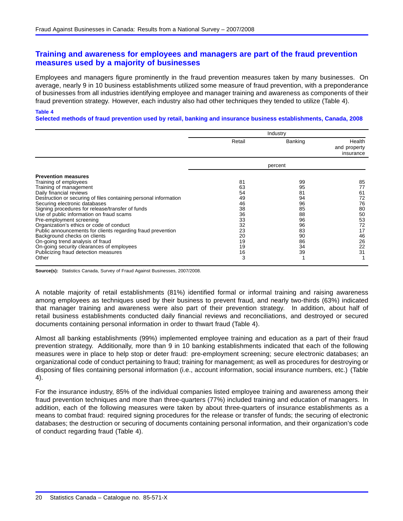# <span id="page-21-0"></span>**Training and awareness for employees and managers are part of the fraud prevention measures used by a majority of businesses**

Employees and managers figure prominently in the fraud prevention measures taken by many businesses. On average, nearly 9 in 10 business establishments utilized some measure of fraud prevention, with a preponderance of businesses from all industries identifying employee and manager training and awareness as components of their fraud prevention strategy. However, each industry also had other techniques they tended to utilize (Table 4).

#### **Table 4**

**Selected methods of fraud prevention used by retail, banking and insurance business establishments, Canada, 2008**

|                                                                                                                                                                                                                                                                                                                                                                                                                                                                                                                                                                                                                        | Industry                                                                              |                                                                                  |                                                                                  |
|------------------------------------------------------------------------------------------------------------------------------------------------------------------------------------------------------------------------------------------------------------------------------------------------------------------------------------------------------------------------------------------------------------------------------------------------------------------------------------------------------------------------------------------------------------------------------------------------------------------------|---------------------------------------------------------------------------------------|----------------------------------------------------------------------------------|----------------------------------------------------------------------------------|
|                                                                                                                                                                                                                                                                                                                                                                                                                                                                                                                                                                                                                        | Retail                                                                                | Banking                                                                          | Health<br>and property<br>insurance                                              |
|                                                                                                                                                                                                                                                                                                                                                                                                                                                                                                                                                                                                                        |                                                                                       | percent                                                                          |                                                                                  |
| <b>Prevention measures</b><br>Training of employees<br>Training of management<br>Daily financial reviews<br>Destruction or securing of files containing personal information<br>Securing electronic databases<br>Signing procedures for release/transfer of funds<br>Use of public information on fraud scams<br>Pre-employment screening<br>Organization's ethics or code of conduct<br>Public announcements for clients regarding fraud prevention<br>Background checks on clients<br>On-going trend analysis of fraud<br>On-going security clearances of employees<br>Publicizing fraud detection measures<br>Other | 81<br>63<br>54<br>49<br>46<br>38<br>36<br>33<br>32<br>23<br>20<br>19<br>19<br>16<br>3 | 99<br>95<br>81<br>94<br>96<br>85<br>88<br>96<br>96<br>83<br>90<br>86<br>34<br>39 | 85<br>77<br>61<br>72<br>76<br>80<br>50<br>53<br>72<br>17<br>46<br>26<br>22<br>31 |

**Source(s):** Statistics Canada, Survey of Fraud Against Businesses, 2007/2008.

A notable majority of retail establishments (81%) identified formal or informal training and raising awareness among employees as techniques used by their business to prevent fraud, and nearly two-thirds (63%) indicated that manager training and awareness were also part of their prevention strategy. In addition, about half of retail business establishments conducted daily financial reviews and reconciliations, and destroyed or secured documents containing personal information in order to thwart fraud (Table 4).

Almost all banking establishments (99%) implemented employee training and education as a part of their fraud prevention strategy. Additionally, more than 9 in 10 banking establishments indicated that each of the following measures were in place to help stop or deter fraud: pre-employment screening; secure electronic databases; an organizational code of conduct pertaining to fraud; training for management; as well as procedures for destroying or disposing of files containing personal information (i.e., account information, social insurance numbers, etc.) (Table 4).

For the insurance industry, 85% of the individual companies listed employee training and awareness among their fraud prevention techniques and more than three-quarters (77%) included training and education of managers. In addition, each of the following measures were taken by about three-quarters of insurance establishments as a means to combat fraud: required signing procedures for the release or transfer of funds; the securing of electronic databases; the destruction or securing of documents containing personal information, and their organization's code of conduct regarding fraud (Table 4).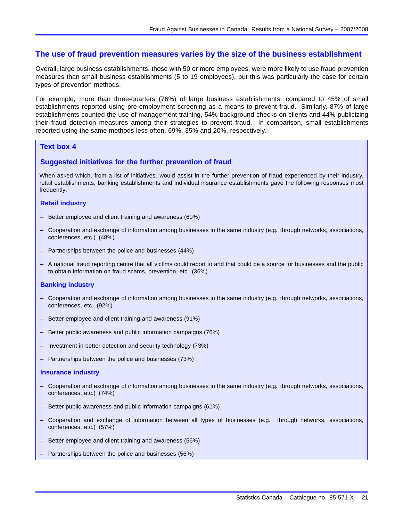### <span id="page-22-0"></span>**The use of fraud prevention measures varies by the size of the business establishment**

Overall, large business establishments, those with 50 or more employees, were more likely to use fraud prevention measures than small business establishments (5 to 19 employees), but this was particularly the case for certain types of prevention methods.

For example, more than three-quarters (76%) of large business establishments, compared to 45% of small establishments reported using pre-employment screening as a means to prevent fraud. Similarly, 87% of large establishments counted the use of management training, 54% background checks on clients and 44% publicizing their fraud detection measures among their strategies to prevent fraud. In comparison, small establishments reported using the same methods less often, 69%, 35% and 20%, respectively.

#### **Text box 4**

#### **Suggested initiatives for the further prevention of fraud**

When asked which, from a list of initiatives, would assist in the further prevention of fraud experienced by their industry, retail establishments, banking establishments and individual insurance establishments gave the following responses most frequently:

#### **Retail industry**

- Better employee and client training and awareness (60%)
- Cooperation and exchange of information among businesses in the same industry (e.g. through networks, associations, conferences, etc.) (48%)
- Partnerships between the police and businesses (44%)
- A national fraud reporting centre that all victims could report to and that could be a source for businesses and the public to obtain information on fraud scams, prevention, etc. (36%)

#### **Banking industry**

- Cooperation and exchange of information among businesses in the same industry (e.g. through networks, associations, conferences, etc. (92%)
- Better employee and client training and awareness (91%)
- Better public awareness and public information campaigns (76%)
- Investment in better detection and security technology (73%)
- Partnerships between the police and businesses (73%)

#### **Insurance industry**

- Cooperation and exchange of information among businesses in the same industry (e.g. through networks, associations, conferences, etc.) (74%)
- Better public awareness and public information campaigns (61%)
- Cooperation and exchange of information between all types of businesses (e.g. through networks, associations, conferences, etc.) (57%)
- Better employee and client training and awareness (56%)
- Partnerships between the police and businesses (56%)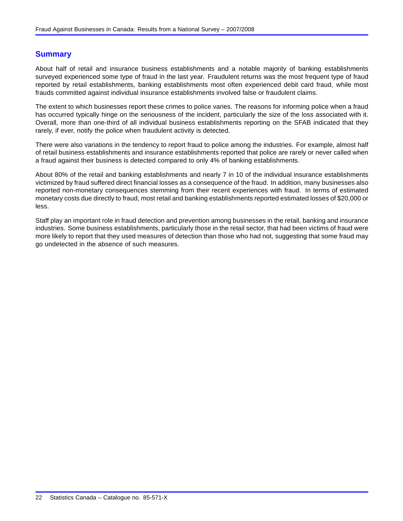# <span id="page-23-0"></span>**Summary**

About half of retail and insurance business establishments and a notable majority of banking establishments surveyed experienced some type of fraud in the last year. Fraudulent returns was the most frequent type of fraud reported by retail establishments, banking establishments most often experienced debit card fraud, while most frauds committed against individual insurance establishments involved false or fraudulent claims.

The extent to which businesses report these crimes to police varies. The reasons for informing police when a fraud has occurred typically hinge on the seriousness of the incident, particularly the size of the loss associated with it. Overall, more than one-third of all individual business establishments reporting on the SFAB indicated that they rarely, if ever, notify the police when fraudulent activity is detected.

There were also variations in the tendency to report fraud to police among the industries. For example, almost half of retail business establishments and insurance establishments reported that police are rarely or never called when a fraud against their business is detected compared to only 4% of banking establishments.

About 80% of the retail and banking establishments and nearly 7 in 10 of the individual insurance establishments victimized by fraud suffered direct financial losses as a consequence of the fraud. In addition, many businesses also reported non-monetary consequences stemming from their recent experiences with fraud. In terms of estimated monetary costs due directly to fraud, most retail and banking establishments reported estimated losses of \$20,000 or less.

Staff play an important role in fraud detection and prevention among businesses in the retail, banking and insurance industries. Some business establishments, particularly those in the retail sector, that had been victims of fraud were more likely to report that they used measures of detection than those who had not, suggesting that some fraud may go undetected in the absence of such measures.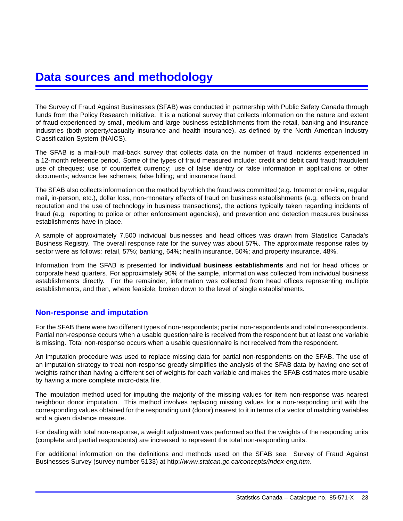# <span id="page-24-0"></span>**Data sources and methodology**

The Survey of Fraud Against Businesses (SFAB) was conducted in partnership with Public Safety Canada through funds from the Policy Research Initiative. It is a national survey that collects information on the nature and extent of fraud experienced by small, medium and large business establishments from the retail, banking and insurance industries (both property/casualty insurance and health insurance), as defined by the North American Industry Classification System (NAICS).

The SFAB is a mail-out/ mail-back survey that collects data on the number of fraud incidents experienced in a 12-month reference period. Some of the types of fraud measured include: credit and debit card fraud; fraudulent use of cheques; use of counterfeit currency; use of false identity or false information in applications or other documents; advance fee schemes; false billing; and insurance fraud.

The SFAB also collects information on the method by which the fraud was committed (e.g. Internet or on-line, regular mail, in-person, etc.), dollar loss, non-monetary effects of fraud on business establishments (e.g. effects on brand reputation and the use of technology in business transactions), the actions typically taken regarding incidents of fraud (e.g. reporting to police or other enforcement agencies), and prevention and detection measures business establishments have in place.

A sample of approximately 7,500 individual businesses and head offices was drawn from Statistics Canada's Business Registry. The overall response rate for the survey was about 57%. The approximate response rates by sector were as follows: retail, 57%; banking, 64%; health insurance, 50%; and property insurance, 48%.

Information from the SFAB is presented for **individual business establishments** and not for head offices or corporate head quarters. For approximately 90% of the sample, information was collected from individual business establishments directly. For the remainder, information was collected from head offices representing multiple establishments, and then, where feasible, broken down to the level of single establishments.

# **Non-response and imputation**

For the SFAB there were two different types of non-respondents; partial non-respondents and total non-respondents. Partial non-response occurs when a usable questionnaire is received from the respondent but at least one variable is missing. Total non-response occurs when a usable questionnaire is not received from the respondent.

An imputation procedure was used to replace missing data for partial non-respondents on the SFAB. The use of an imputation strategy to treat non-response greatly simplifies the analysis of the SFAB data by having one set of weights rather than having a different set of weights for each variable and makes the SFAB estimates more usable by having a more complete micro-data file.

The imputation method used for imputing the majority of the missing values for item non-response was nearest neighbour donor imputation. This method involves replacing missing values for a non-responding unit with the corresponding values obtained for the responding unit (donor) nearest to it in terms of a vector of matching variables and a given distance measure.

For dealing with total non-response, a weight adjustment was performed so that the weights of the responding units (complete and partial respondents) are increased to represent the total non-responding units.

For additional information on the definitions and methods used on the SFAB see: Survey of Fraud Against Businesses Survey (survey number 5133) at http://*www.statcan.gc.ca/concepts/index-eng.htm*.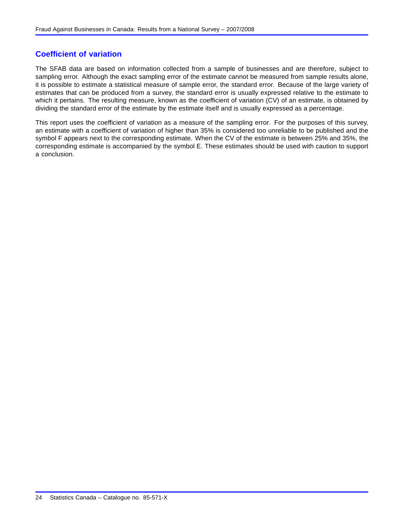# **Coefficient of variation**

The SFAB data are based on information collected from a sample of businesses and are therefore, subject to sampling error. Although the exact sampling error of the estimate cannot be measured from sample results alone, it is possible to estimate a statistical measure of sample error, the standard error. Because of the large variety of estimates that can be produced from a survey, the standard error is usually expressed relative to the estimate to which it pertains. The resulting measure, known as the coefficient of variation (CV) of an estimate, is obtained by dividing the standard error of the estimate by the estimate itself and is usually expressed as a percentage.

This report uses the coefficient of variation as a measure of the sampling error. For the purposes of this survey, an estimate with a coefficient of variation of higher than 35% is considered too unreliable to be published and the symbol F appears next to the corresponding estimate. When the CV of the estimate is between 25% and 35%, the corresponding estimate is accompanied by the symbol E. These estimates should be used with caution to support a conclusion.